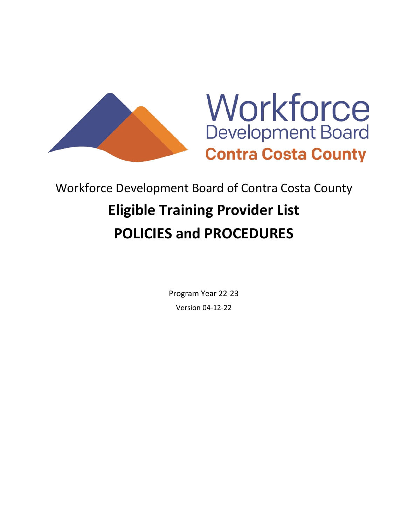



# Workforce Development Board of Contra Costa County **Eligible Training Provider List POLICIES and PROCEDURES**

Program Year 22-23 Version 04-12-22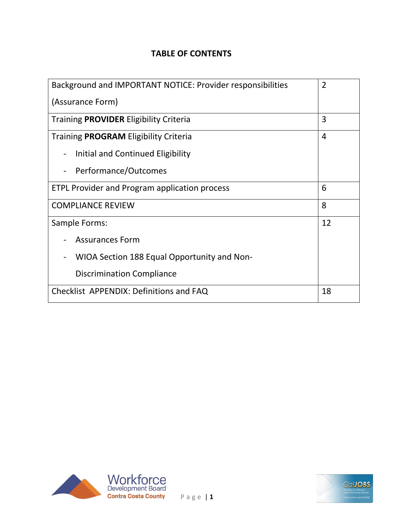## **TABLE OF CONTENTS**

| Background and IMPORTANT NOTICE: Provider responsibilities |    |
|------------------------------------------------------------|----|
| (Assurance Form)                                           |    |
| Training <b>PROVIDER</b> Eligibility Criteria              | 3  |
| Training <b>PROGRAM</b> Eligibility Criteria               | 4  |
| Initial and Continued Eligibility                          |    |
| Performance/Outcomes                                       |    |
| <b>ETPL Provider and Program application process</b>       | 6  |
| <b>COMPLIANCE REVIEW</b>                                   | 8  |
| Sample Forms:                                              | 12 |
| <b>Assurances Form</b>                                     |    |
| WIOA Section 188 Equal Opportunity and Non-                |    |
| <b>Discrimination Compliance</b>                           |    |
| Checklist APPENDIX: Definitions and FAQ                    | 18 |



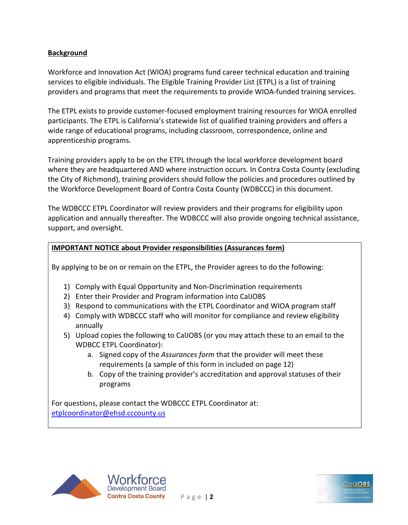#### **Background**

Workforce and Innovation Act (WIOA) programs fund career technical education and training services to eligible individuals. The Eligible Training Provider List (ETPL) is a list of training providers and programs that meet the requirements to provide WIOA-funded training services.

The ETPL exists to provide customer-focused employment training resources for WIOA enrolled participants. The ETPL is California's statewide list of qualified training providers and offers a wide range of educational programs, including classroom, correspondence, online and apprenticeship programs.

Training providers apply to be on the ETPL through the local workforce development board where they are headquartered AND where instruction occurs. In Contra Costa County (excluding the City of Richmond), training providers should follow the policies and procedures outlined by the Workforce Development Board of Contra Costa County (WDBCCC) in this document.

The WDBCCC ETPL Coordinator will review providers and their programs for eligibility upon application and annually thereafter. The WDBCCC will also provide ongoing technical assistance, support, and oversight.

#### **IMPORTANT NOTICE about Provider responsibilities (Assurances form)**

By applying to be on or remain on the ETPL, the Provider agrees to do the following:

- 1) Comply with Equal Opportunity and Non-Discrimination requirements
- 2) Enter their Provider and Program information into CalJOBS
- 3) Respond to communications with the ETPL Coordinator and WIOA program staff
- 4) Comply with WDBCCC staff who will monitor for compliance and review eligibility annually
- 5) Upload copies the following to CalJOBS (or you may attach these to an email to the WDBCC ETPL Coordinator):
	- a. Signed copy of the *Assurances form* that the provider will meet these requirements (a sample of this form in included on page 12)
	- b. Copy of the training provider's accreditation and approval statuses of their programs

For questions, please contact the WDBCCC ETPL Coordinator at: [etplcoordinator@ehsd.cccounty.us](mailto:etplcoordinator@ehsd.cccounty.us)



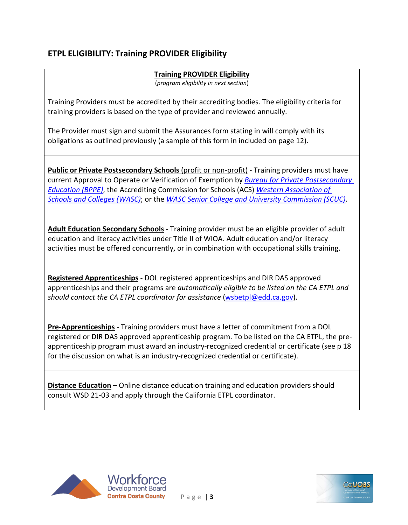## **ETPL ELIGIBILITY: Training PROVIDER Eligibility**

## **Training PROVIDER Eligibility**

(*program eligibility in next section*)

Training Providers must be accredited by their accrediting bodies. The eligibility criteria for training providers is based on the type of provider and reviewed annually.

The Provider must sign and submit the Assurances form stating in will comply with its obligations as outlined previously (a sample of this form in included on page 12).

**Public or Private Postsecondary Schools** (profit or non-profit) - Training providers must have current Approval to Operate or Verification of Exemption by *[Bureau for Private Postsecondary](https://www.bppe.ca.gov/)  [Education \(BPPE\)](https://www.bppe.ca.gov/)*, the Accrediting Commission for Schools (ACS) *[Western Association of](https://www.acswasc.org/)  [Schools and Colleges \(WASC\)](https://www.acswasc.org/)*; or the *[WASC Senior College and University Commission \(SCUC\)](https://www.wscuc.org/)*.

**Adult Education Secondary Schools** - Training provider must be an eligible provider of adult education and literacy activities under Title II of WIOA. Adult education and/or literacy activities must be offered concurrently, or in combination with occupational skills training.

**Registered Apprenticeships** - DOL registered apprenticeships and DIR DAS approved apprenticeships and their programs are *automatically eligible to be listed on the CA ETPL and should contact the CA ETPL coordinator for assistance* [\(wsbetpl@edd.ca.gov\)](mailto:wsbetpl@edd.ca.gov).

**Pre-Apprenticeships** - Training providers must have a letter of commitment from a DOL registered or DIR DAS approved apprenticeship program. To be listed on the CA ETPL, the preapprenticeship program must award an industry-recognized credential or certificate (see p 18 for the discussion on what is an industry-recognized credential or certificate).

**Distance Education** – Online distance education training and education providers should consult WSD 21-03 and apply through the California ETPL coordinator.



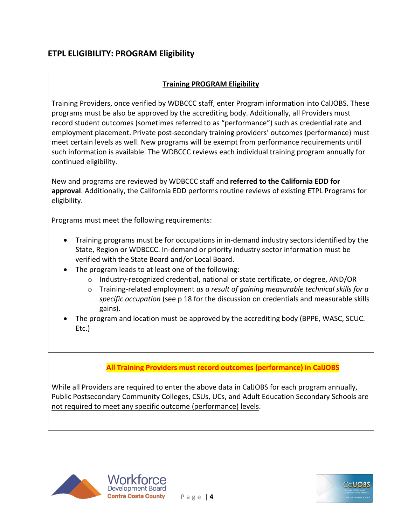#### **Training PROGRAM Eligibility**

Training Providers, once verified by WDBCCC staff, enter Program information into CalJOBS. These programs must be also be approved by the accrediting body. Additionally, all Providers must record student outcomes (sometimes referred to as "performance") such as credential rate and employment placement. Private post-secondary training providers' outcomes (performance) must meet certain levels as well. New programs will be exempt from performance requirements until such information is available. The WDBCCC reviews each individual training program annually for continued eligibility.

New and programs are reviewed by WDBCCC staff and **referred to the California EDD for approval**. Additionally, the California EDD performs routine reviews of existing ETPL Programs for eligibility.

Programs must meet the following requirements:

- Training programs must be for occupations in in-demand industry sectors identified by the State, Region or WDBCCC. In-demand or priority industry sector information must be verified with the State Board and/or Local Board.
- The program leads to at least one of the following:
	- o Industry-recognized credential, national or state certificate, or degree, AND/OR
	- o Training-related employment *as a result of gaining measurable technical skills for a specific occupation* (see p 18 for the discussion on credentials and measurable skills gains).
- The program and location must be approved by the accrediting body (BPPE, WASC, SCUC. Etc.)

#### **All Training Providers must record outcomes (performance) in CalJOBS**

While all Providers are required to enter the above data in CalJOBS for each program annually, Public Postsecondary Community Colleges, CSUs, UCs, and Adult Education Secondary Schools are not required to meet any specific outcome (performance) levels.





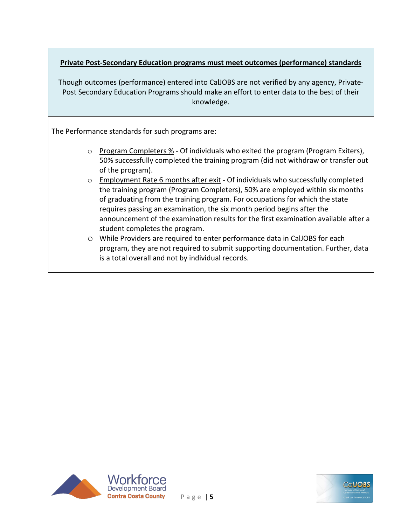#### **Private Post-Secondary Education programs must meet outcomes (performance) standards**

Though outcomes (performance) entered into CalJOBS are not verified by any agency, Private-Post Secondary Education Programs should make an effort to enter data to the best of their knowledge.

The Performance standards for such programs are:

- $\circ$  Program Completers % Of individuals who exited the program (Program Exiters), 50% successfully completed the training program (did not withdraw or transfer out of the program).
- $\circ$  Employment Rate 6 months after exit Of individuals who successfully completed the training program (Program Completers), 50% are employed within six months of graduating from the training program. For occupations for which the state requires passing an examination, the six month period begins after the announcement of the examination results for the first examination available after a student completes the program.
- o While Providers are required to enter performance data in CalJOBS for each program, they are not required to submit supporting documentation. Further, data is a total overall and not by individual records.



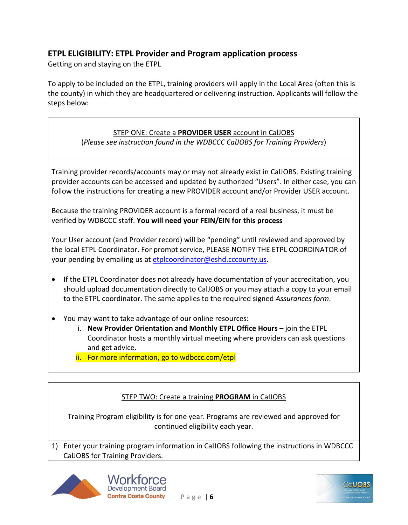## **ETPL ELIGIBILITY: ETPL Provider and Program application process**

Getting on and staying on the ETPL

To apply to be included on the ETPL, training providers will apply in the Local Area (often this is the county) in which they are headquartered or delivering instruction. Applicants will follow the steps below:

#### STEP ONE: Create a **PROVIDER USER** account in CalJOBS

(*Please see instruction found in the WDBCCC CalJOBS for Training Providers*)

Training provider records/accounts may or may not already exist in CalJOBS. Existing training provider accounts can be accessed and updated by authorized "Users". In either case, you can follow the instructions for creating a new PROVIDER account and/or Provider USER account.

Because the training PROVIDER account is a formal record of a real business, it must be verified by WDBCCC staff. **You will need your FEIN/EIN for this process**

Your User account (and Provider record) will be "pending" until reviewed and approved by the local ETPL Coordinator. For prompt service, PLEASE NOTIFY THE ETPL COORDINATOR of your pending by emailing us at [etplcoordinator@eshd.cccounty.us.](mailto:etplcoordinator@eshd.cccounty.us)

- If the ETPL Coordinator does not already have documentation of your accreditation, you should upload documentation directly to CalJOBS or you may attach a copy to your email to the ETPL coordinator. The same applies to the required signed *Assurances form*.
- You may want to take advantage of our online resources:
	- i. **New Provider Orientation and Monthly ETPL Office Hours** join the ETPL Coordinator hosts a monthly virtual meeting where providers can ask questions and get advice.
	- ii. For more information, go to wdbccc.com/etpl

#### STEP TWO: Create a training **PROGRAM** in CalJOBS

Training Program eligibility is for one year. Programs are reviewed and approved for continued eligibility each year.

1) Enter your training program information in CalJOBS following the instructions in WDBCCC CalJOBS for Training Providers.





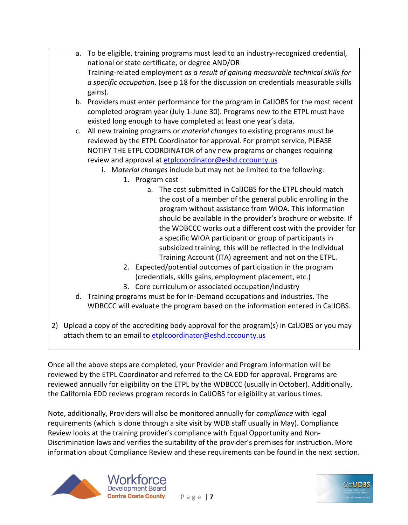|  | a. To be eligible, training programs must lead to an industry-recognized credential,                    |
|--|---------------------------------------------------------------------------------------------------------|
|  | national or state certificate, or degree AND/OR                                                         |
|  | Training-related employment as a result of gaining measurable technical skills for                      |
|  | <i>a specific occupation</i> . (see p 18 for the discussion on credentials measurable skills<br>gains). |
|  | b. Providers must enter performance for the program in CalJOBS for the most recent                      |
|  | completed program year (July 1-June 30). Programs new to the ETPL must have                             |
|  |                                                                                                         |
|  | existed long enough to have completed at least one year's data.                                         |
|  | c. All new training programs or <i>material changes</i> to existing programs must be                    |
|  | reviewed by the ETPL Coordinator for approval. For prompt service, PLEASE                               |
|  | NOTIFY THE ETPL COORDINATOR of any new programs or changes requiring                                    |
|  | review and approval at etplcoordinator@eshd.cccounty.us                                                 |
|  | i. Material changes include but may not be limited to the following:                                    |
|  | 1. Program cost                                                                                         |
|  | a. The cost submitted in CalJOBS for the ETPL should match                                              |
|  | the cost of a member of the general public enrolling in the                                             |
|  | program without assistance from WIOA. This information                                                  |
|  | should be available in the provider's brochure or website. If                                           |
|  | the WDBCCC works out a different cost with the provider for                                             |
|  | a specific WIOA participant or group of participants in                                                 |
|  | والمساوية والمساريم والقريمة المستقمم الكسور بمروا القريب مقطيف بمستقدم ومستراه وستقاط والمساري         |

- subsidized training, this will be reflected in the Individual Training Account (ITA) agreement and not on the ETPL.
- 2. Expected/potential outcomes of participation in the program (credentials, skills gains, employment placement, etc.)
- 3. Core curriculum or associated occupation/industry
- d. Training programs must be for In-Demand occupations and industries. The WDBCCC will evaluate the program based on the information entered in CalJOBS.
- 2) Upload a copy of the accrediting body approval for the program(s) in CalJOBS or you may attach them to an email to [etplcoordinator@eshd.cccounty.us](mailto:etplcoordinator@eshd.cccounty.us)

Once all the above steps are completed, your Provider and Program information will be reviewed by the ETPL Coordinator and referred to the CA EDD for approval. Programs are reviewed annually for eligibility on the ETPL by the WDBCCC (usually in October). Additionally, the California EDD reviews program records in CalJOBS for eligibility at various times.

Note, additionally, Providers will also be monitored annually for *compliance* with legal requirements (which is done through a site visit by WDB staff usually in May). Compliance Review looks at the training provider's compliance with Equal Opportunity and Non-Discrimination laws and verifies the suitability of the provider's premises for instruction. More information about Compliance Review and these requirements can be found in the next section.

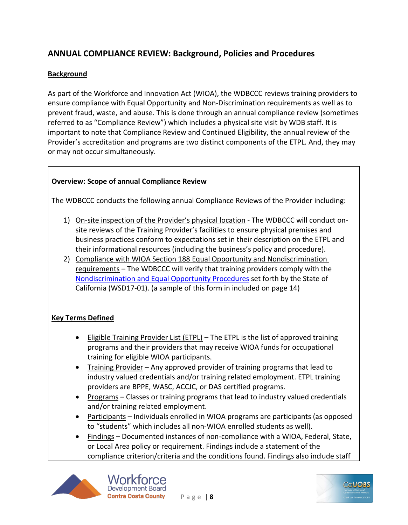## **ANNUAL COMPLIANCE REVIEW: Background, Policies and Procedures**

#### **Background**

As part of the Workforce and Innovation Act (WIOA), the WDBCCC reviews training providers to ensure compliance with Equal Opportunity and Non-Discrimination requirements as well as to prevent fraud, waste, and abuse. This is done through an annual compliance review (sometimes referred to as "Compliance Review") which includes a physical site visit by WDB staff. It is important to note that Compliance Review and Continued Eligibility, the annual review of the Provider's accreditation and programs are two distinct components of the ETPL. And, they may or may not occur simultaneously.

#### **Overview: Scope of annual Compliance Review**

The WDBCCC conducts the following annual Compliance Reviews of the Provider including:

- 1) On-site inspection of the Provider's physical location The WDBCCC will conduct onsite reviews of the Training Provider's facilities to ensure physical premises and business practices conform to expectations set in their description on the ETPL and their informational resources (including the business's policy and procedure).
- 2) Compliance with WIOA Section 188 Equal Opportunity and Nondiscrimination requirements – The WDBCCC will verify that training providers comply with the [Nondiscrimination and Equal Opportunity Procedures](https://www.edd.ca.gov/Jobs_and_Training/pubs/wsd17-01.pdf) set forth by the State of California (WSD17-01). (a sample of this form in included on page 14)

#### **Key Terms Defined**

- Eligible Training Provider List (ETPL) The ETPL is the list of approved training programs and their providers that may receive WIOA funds for occupational training for eligible WIOA participants.
- Training Provider Any approved provider of training programs that lead to industry valued credentials and/or training related employment. ETPL training providers are BPPE, WASC, ACCJC, or DAS certified programs.
- Programs Classes or training programs that lead to industry valued credentials and/or training related employment.
- Participants Individuals enrolled in WIOA programs are participants (as opposed to "students" which includes all non-WIOA enrolled students as well).
- Findings Documented instances of non-compliance with a WIOA, Federal, State, or Local Area policy or requirement. Findings include a statement of the compliance criterion/criteria and the conditions found. Findings also include staff



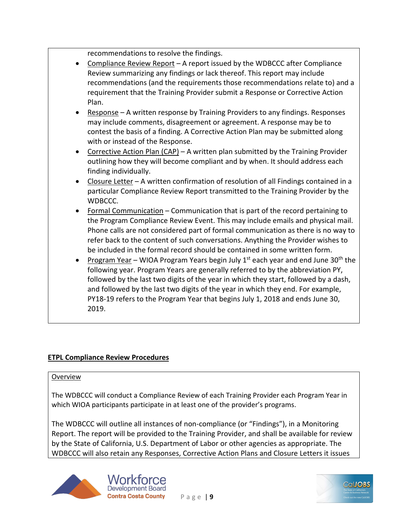recommendations to resolve the findings.

- Compliance Review Report A report issued by the WDBCCC after Compliance Review summarizing any findings or lack thereof. This report may include recommendations (and the requirements those recommendations relate to) and a requirement that the Training Provider submit a Response or Corrective Action Plan.
- Response A written response by Training Providers to any findings. Responses may include comments, disagreement or agreement. A response may be to contest the basis of a finding. A Corrective Action Plan may be submitted along with or instead of the Response.
- Corrective Action Plan (CAP) A written plan submitted by the Training Provider outlining how they will become compliant and by when. It should address each finding individually.
- Closure Letter A written confirmation of resolution of all Findings contained in a particular Compliance Review Report transmitted to the Training Provider by the WDBCCC.
- Formal Communication Communication that is part of the record pertaining to the Program Compliance Review Event. This may include emails and physical mail. Phone calls are not considered part of formal communication as there is no way to refer back to the content of such conversations. Anything the Provider wishes to be included in the formal record should be contained in some written form.
- Program Year WIOA Program Years begin July  $1<sup>st</sup>$  each year and end June 30<sup>th</sup> the following year. Program Years are generally referred to by the abbreviation PY, followed by the last two digits of the year in which they start, followed by a dash, and followed by the last two digits of the year in which they end. For example, PY18-19 refers to the Program Year that begins July 1, 2018 and ends June 30, 2019.

#### **ETPL Compliance Review Procedures**

#### Overview

The WDBCCC will conduct a Compliance Review of each Training Provider each Program Year in which WIOA participants participate in at least one of the provider's programs.

The WDBCCC will outline all instances of non-compliance (or "Findings"), in a Monitoring Report. The report will be provided to the Training Provider, and shall be available for review by the State of California, U.S. Department of Labor or other agencies as appropriate. The WDBCCC will also retain any Responses, Corrective Action Plans and Closure Letters it issues



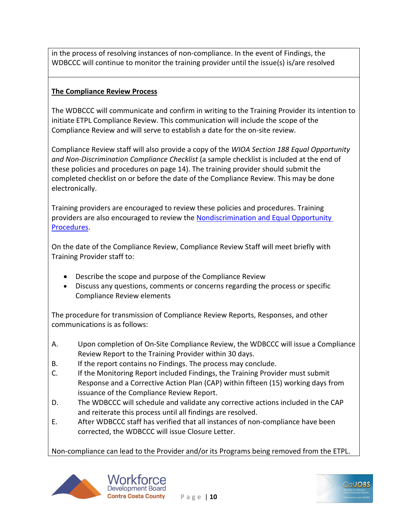in the process of resolving instances of non-compliance. In the event of Findings, the WDBCCC will continue to monitor the training provider until the issue(s) is/are resolved

#### **The Compliance Review Process**

The WDBCCC will communicate and confirm in writing to the Training Provider its intention to initiate ETPL Compliance Review. This communication will include the scope of the Compliance Review and will serve to establish a date for the on-site review.

Compliance Review staff will also provide a copy of the *WIOA Section 188 Equal Opportunity and Non-Discrimination Compliance Checklist* (a sample checklist is included at the end of these policies and procedures on page 14). The training provider should submit the completed checklist on or before the date of the Compliance Review. This may be done electronically.

Training providers are encouraged to review these policies and procedures. Training providers are also encouraged to review the [Nondiscrimination and Equal Opportunity](https://www.edd.ca.gov/Jobs_and_Training/pubs/wsd17-01.pdf)  [Procedures.](https://www.edd.ca.gov/Jobs_and_Training/pubs/wsd17-01.pdf)

On the date of the Compliance Review, Compliance Review Staff will meet briefly with Training Provider staff to:

- Describe the scope and purpose of the Compliance Review
- Discuss any questions, comments or concerns regarding the process or specific Compliance Review elements

The procedure for transmission of Compliance Review Reports, Responses, and other communications is as follows:

- A. Upon completion of On-Site Compliance Review, the WDBCCC will issue a Compliance Review Report to the Training Provider within 30 days.
- B. If the report contains no Findings. The process may conclude.
- C. If the Monitoring Report included Findings, the Training Provider must submit Response and a Corrective Action Plan (CAP) within fifteen (15) working days from issuance of the Compliance Review Report.
- D. The WDBCCC will schedule and validate any corrective actions included in the CAP and reiterate this process until all findings are resolved.
- E. After WDBCCC staff has verified that all instances of non-compliance have been corrected, the WDBCCC will issue Closure Letter.

Non-compliance can lead to the Provider and/or its Programs being removed from the ETPL.



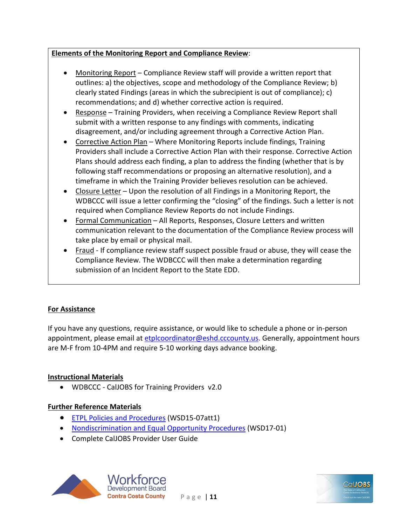#### **Elements of the Monitoring Report and Compliance Review**:

- Monitoring Report Compliance Review staff will provide a written report that outlines: a) the objectives, scope and methodology of the Compliance Review; b) clearly stated Findings (areas in which the subrecipient is out of compliance); c) recommendations; and d) whether corrective action is required.
- Response Training Providers, when receiving a Compliance Review Report shall submit with a written response to any findings with comments, indicating disagreement, and/or including agreement through a Corrective Action Plan.
- Corrective Action Plan Where Monitoring Reports include findings, Training Providers shall include a Corrective Action Plan with their response. Corrective Action Plans should address each finding, a plan to address the finding (whether that is by following staff recommendations or proposing an alternative resolution), and a timeframe in which the Training Provider believes resolution can be achieved.
- Closure Letter Upon the resolution of all Findings in a Monitoring Report, the WDBCCC will issue a letter confirming the "closing" of the findings. Such a letter is not required when Compliance Review Reports do not include Findings.
- Formal Communication All Reports, Responses, Closure Letters and written communication relevant to the documentation of the Compliance Review process will take place by email or physical mail.
- Fraud If compliance review staff suspect possible fraud or abuse, they will cease the Compliance Review. The WDBCCC will then make a determination regarding submission of an Incident Report to the State EDD.

#### **For Assistance**

If you have any questions, require assistance, or would like to schedule a phone or in-person appointment, please email at [etplcoordinator@eshd.cccounty.us.](mailto:etplcoordinator@eshd.cccounty.us) Generally, appointment hours are M-F from 10-4PM and require 5-10 working days advance booking.

#### **Instructional Materials**

• WDBCCC - CalJOBS for Training Providers v2.0

#### **Further Reference Materials**

- ETPL Policies and Procedures (WSD15-07att1)
- [Nondiscrimination and Equal Opportunity Procedures](https://www.edd.ca.gov/Jobs_and_Training/pubs/wsd17-01.pdf) (WSD17-01)
- Complete CalJOBS Provider User Guide



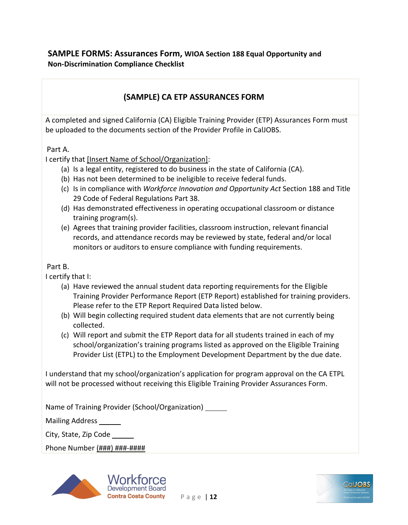#### **SAMPLE FORMS: Assurances Form, WIOA Section 188 Equal Opportunity and Non-Discrimination Compliance Checklist**

## **(SAMPLE) CA ETP ASSURANCES FORM**

A completed and signed California (CA) Eligible Training Provider (ETP) Assurances Form must be uploaded to the documents section of the Provider Profile in CalJOBS.

#### Part A.

I certify that [Insert Name of School/Organization]:

- (a) Is a legal entity, registered to do business in the state of California (CA).
- (b) Has not been determined to be ineligible to receive federal funds.
- (c) Is in compliance with *Workforce Innovation and Opportunity Act* Section 188 and Title 29 Code of Federal Regulations Part 38.
- (d) Has demonstrated effectiveness in operating occupational classroom or distance training program(s).
- (e) Agrees that training provider facilities, classroom instruction, relevant financial records, and attendance records may be reviewed by state, federal and/or local monitors or auditors to ensure compliance with funding requirements.

#### Part B.

I certify that I:

- (a) Have reviewed the annual student data reporting requirements for the Eligible Training Provider Performance Report (ETP Report) established for training providers. Please refer to the ETP Report Required Data listed below.
- (b) Will begin collecting required student data elements that are not currently being collected.
- (c) Will report and submit the ETP Report data for all students trained in each of my school/organization's training programs listed as approved on the Eligible Training Provider List (ETPL) to the Employment Development Department by the due date.

I understand that my school/organization's application for program approval on the CA ETPL will not be processed without receiving this Eligible Training Provider Assurances Form.

Name of Training Provider (School/Organization)

Mailing Address

City, State, Zip Code

Phone Number (###) ###-####



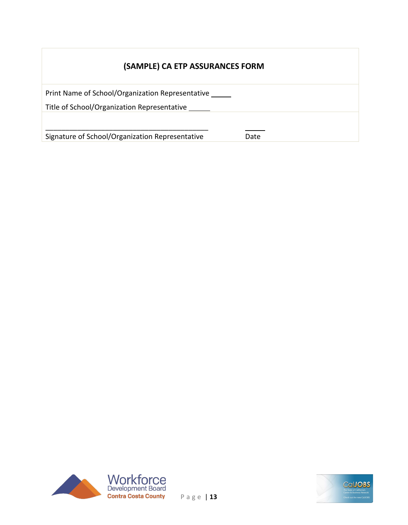# **(SAMPLE) CA ETP ASSURANCES FORM**

| Print Name of School/Organization Representative   |      |
|----------------------------------------------------|------|
| Title of School/Organization Representative ______ |      |
|                                                    |      |
|                                                    |      |
| Signature of School/Organization Representative    | Date |



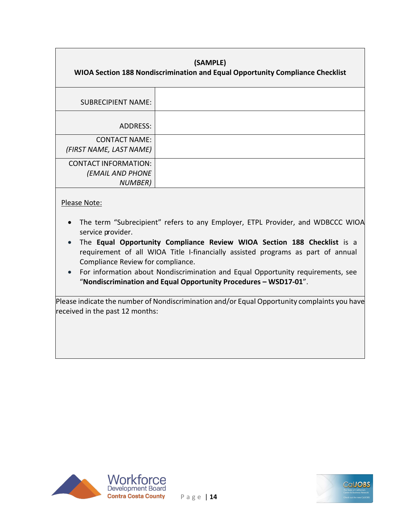| (SAMPLE)<br>WIOA Section 188 Nondiscrimination and Equal Opportunity Compliance Checklist |  |  |
|-------------------------------------------------------------------------------------------|--|--|
| <b>SUBRECIPIENT NAME:</b>                                                                 |  |  |
| ADDRESS:                                                                                  |  |  |
| <b>CONTACT NAME:</b><br>(FIRST NAME, LAST NAME)                                           |  |  |
| <b>CONTACT INFORMATION:</b><br><b>(EMAIL AND PHONE</b><br><b>NUMBER</b> )                 |  |  |

#### Please Note:

- The term "Subrecipient" refers to any Employer, ETPL Provider, and WDBCCC WIOA service provider.
- The **Equal Opportunity Compliance Review WIOA Section 188 Checklist** is a requirement of all WIOA Title I-financially assisted programs as part of annual Compliance Review for compliance.
- For information about Nondiscrimination and Equal Opportunity requirements, see "**Nondiscrimination and Equal Opportunity Procedures – WSD17-01**".

Please indicate the number of Nondiscrimination and/or Equal Opportunity complaints you have received in the past 12 months:



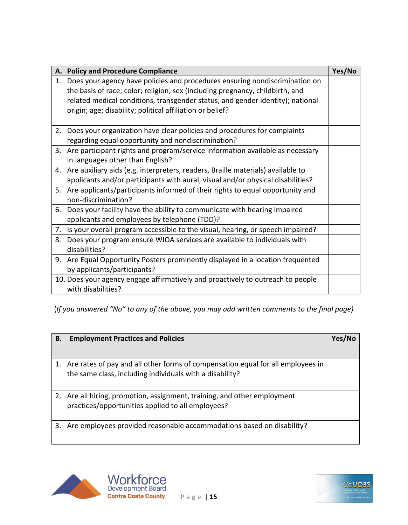|    | A. Policy and Procedure Compliance                                                                                                                                                                                                                                                                          | Yes/No |
|----|-------------------------------------------------------------------------------------------------------------------------------------------------------------------------------------------------------------------------------------------------------------------------------------------------------------|--------|
| 1. | Does your agency have policies and procedures ensuring nondiscrimination on<br>the basis of race; color; religion; sex (including pregnancy, childbirth, and<br>related medical conditions, transgender status, and gender identity); national<br>origin; age; disability; political affiliation or belief? |        |
|    | 2. Does your organization have clear policies and procedures for complaints<br>regarding equal opportunity and nondiscrimination?                                                                                                                                                                           |        |
|    | 3. Are participant rights and program/service information available as necessary<br>in languages other than English?                                                                                                                                                                                        |        |
|    | 4. Are auxiliary aids (e.g. interpreters, readers, Braille materials) available to<br>applicants and/or participants with aural, visual and/or physical disabilities?                                                                                                                                       |        |
| 5. | Are applicants/participants informed of their rights to equal opportunity and<br>non-discrimination?                                                                                                                                                                                                        |        |
|    | 6. Does your facility have the ability to communicate with hearing impaired<br>applicants and employees by telephone (TDD)?                                                                                                                                                                                 |        |
| 7. | Is your overall program accessible to the visual, hearing, or speech impaired?                                                                                                                                                                                                                              |        |
| 8. | Does your program ensure WIOA services are available to individuals with<br>disabilities?                                                                                                                                                                                                                   |        |
|    | 9. Are Equal Opportunity Posters prominently displayed in a location frequented<br>by applicants/participants?                                                                                                                                                                                              |        |
|    | 10. Does your agency engage affirmatively and proactively to outreach to people<br>with disabilities?                                                                                                                                                                                                       |        |

(*If you answered "No" to any of the above, you may add written comments to the final page)*

| В. | <b>Employment Practices and Policies</b>                                                                                                       | Yes/No |
|----|------------------------------------------------------------------------------------------------------------------------------------------------|--------|
|    | 1. Are rates of pay and all other forms of compensation equal for all employees in<br>the same class, including individuals with a disability? |        |
| 2. | Are all hiring, promotion, assignment, training, and other employment<br>practices/opportunities applied to all employees?                     |        |
| 3. | Are employees provided reasonable accommodations based on disability?                                                                          |        |



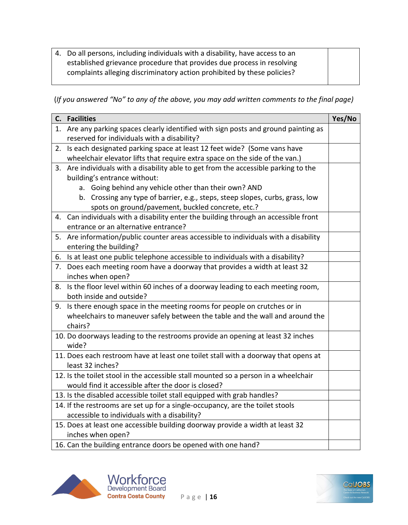4. Do all persons, including individuals with a disability, have access to an established grievance procedure that provides due process in resolving complaints alleging discriminatory action prohibited by these policies?

(*If you answered "No" to any of the above, you may add written comments to the final page)*

|    | C. Facilities                                                                                                                      | Yes/No |
|----|------------------------------------------------------------------------------------------------------------------------------------|--------|
|    | 1. Are any parking spaces clearly identified with sign posts and ground painting as<br>reserved for individuals with a disability? |        |
| 2. | Is each designated parking space at least 12 feet wide? (Some vans have                                                            |        |
|    | wheelchair elevator lifts that require extra space on the side of the van.)                                                        |        |
|    | 3. Are individuals with a disability able to get from the accessible parking to the                                                |        |
|    | building's entrance without:                                                                                                       |        |
|    | a. Going behind any vehicle other than their own? AND                                                                              |        |
|    | b. Crossing any type of barrier, e.g., steps, steep slopes, curbs, grass, low                                                      |        |
|    | spots on ground/pavement, buckled concrete, etc.?                                                                                  |        |
|    | 4. Can individuals with a disability enter the building through an accessible front                                                |        |
|    | entrance or an alternative entrance?                                                                                               |        |
|    | 5. Are information/public counter areas accessible to individuals with a disability                                                |        |
|    | entering the building?                                                                                                             |        |
|    | 6. Is at least one public telephone accessible to individuals with a disability?                                                   |        |
| 7. | Does each meeting room have a doorway that provides a width at least 32                                                            |        |
|    | inches when open?                                                                                                                  |        |
|    | 8. Is the floor level within 60 inches of a doorway leading to each meeting room,                                                  |        |
|    | both inside and outside?                                                                                                           |        |
| 9. | Is there enough space in the meeting rooms for people on crutches or in                                                            |        |
|    | wheelchairs to maneuver safely between the table and the wall and around the                                                       |        |
|    | chairs?                                                                                                                            |        |
|    | 10. Do doorways leading to the restrooms provide an opening at least 32 inches                                                     |        |
|    | wide?                                                                                                                              |        |
|    | 11. Does each restroom have at least one toilet stall with a doorway that opens at                                                 |        |
|    | least 32 inches?                                                                                                                   |        |
|    | 12. Is the toilet stool in the accessible stall mounted so a person in a wheelchair                                                |        |
|    | would find it accessible after the door is closed?                                                                                 |        |
|    | 13. Is the disabled accessible toilet stall equipped with grab handles?                                                            |        |
|    | 14. If the restrooms are set up for a single-occupancy, are the toilet stools                                                      |        |
|    | accessible to individuals with a disability?                                                                                       |        |
|    | 15. Does at least one accessible building doorway provide a width at least 32                                                      |        |
|    | inches when open?                                                                                                                  |        |
|    | 16. Can the building entrance doors be opened with one hand?                                                                       |        |



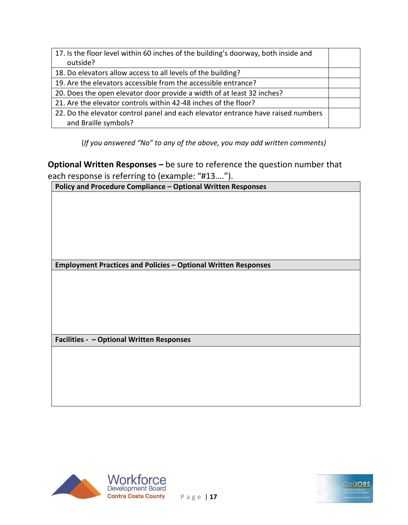| 17. Is the floor level within 60 inches of the building's doorway, both inside and |  |
|------------------------------------------------------------------------------------|--|
| outside?                                                                           |  |
| 18. Do elevators allow access to all levels of the building?                       |  |
| 19. Are the elevators accessible from the accessible entrance?                     |  |
| 20. Does the open elevator door provide a width of at least 32 inches?             |  |
| 21. Are the elevator controls within 42-48 inches of the floor?                    |  |
| 22. Do the elevator control panel and each elevator entrance have raised numbers   |  |
| and Braille symbols?                                                               |  |

(*If you answered "No" to any of the above, you may add written comments)*

**Optional Written Responses –** be sure to reference the question number that each response is referring to (example: "#13….").

**Policy and Procedure Compliance – Optional Written Responses**

**Employment Practices and Policies – Optional Written Responses**

**Facilities - – Optional Written Responses**



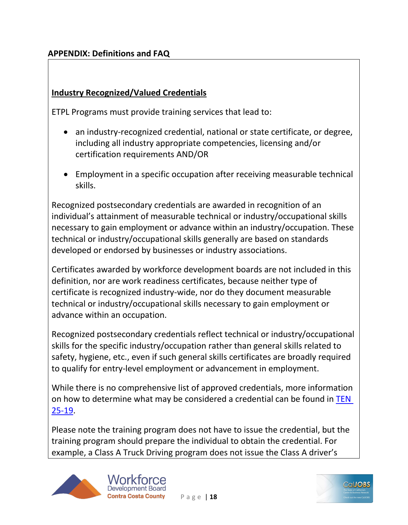## **APPENDIX: Definitions and FAQ**

### **Industry Recognized/Valued Credentials**

ETPL Programs must provide training services that lead to:

- an industry-recognized credential, national or state certificate, or degree, including all industry appropriate competencies, licensing and/or certification requirements AND/OR
- Employment in a specific occupation after receiving measurable technical skills.

Recognized postsecondary credentials are awarded in recognition of an individual's attainment of measurable technical or industry/occupational skills necessary to gain employment or advance within an industry/occupation. These technical or industry/occupational skills generally are based on standards developed or endorsed by businesses or industry associations.

Certificates awarded by workforce development boards are not included in this definition, nor are work readiness certificates, because neither type of certificate is recognized industry-wide, nor do they document measurable technical or industry/occupational skills necessary to gain employment or advance within an occupation.

Recognized postsecondary credentials reflect technical or industry/occupational skills for the specific industry/occupation rather than general skills related to safety, hygiene, etc., even if such general skills certificates are broadly required to qualify for entry-level employment or advancement in employment.

While there is no comprehensive list of approved credentials, more information on how to determine what may be considered a credential can be found in TEN [25-19.](https://wdr.doleta.gov/directives/attach/TEN/TEN_25-19.pdf)

Please note the training program does not have to issue the credential, but the training program should prepare the individual to obtain the credential. For example, a Class A Truck Driving program does not issue the Class A driver's



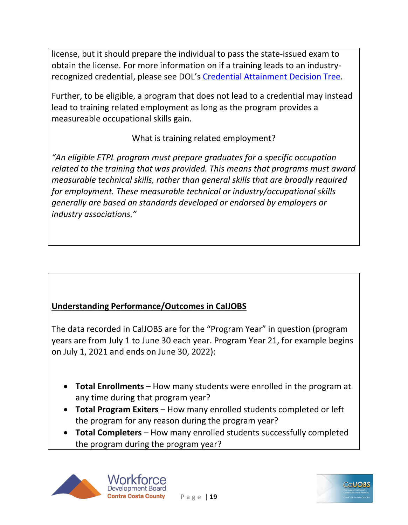license, but it should prepare the individual to pass the state-issued exam to obtain the license. For more information on if a training leads to an industryrecognized credential, please see DOL's [Credential Attainment Decision Tree.](https://wioacredentialtool.safalapps.com/)

Further, to be eligible, a program that does not lead to a credential may instead lead to training related employment as long as the program provides a measureable occupational skills gain.

# What is training related employment?

*"An eligible ETPL program must prepare graduates for a specific occupation related to the training that was provided. This means that programs must award measurable technical skills, rather than general skills that are broadly required for employment. These measurable technical or industry/occupational skills generally are based on standards developed or endorsed by employers or industry associations."*

# **Understanding Performance/Outcomes in CalJOBS**

The data recorded in CalJOBS are for the "Program Year" in question (program years are from July 1 to June 30 each year. Program Year 21, for example begins on July 1, 2021 and ends on June 30, 2022):

- **Total Enrollments** How many students were enrolled in the program at any time during that program year?
- **Total Program Exiters** How many enrolled students completed or left the program for any reason during the program year?
- **Total Completers** How many enrolled students successfully completed the program during the program year?